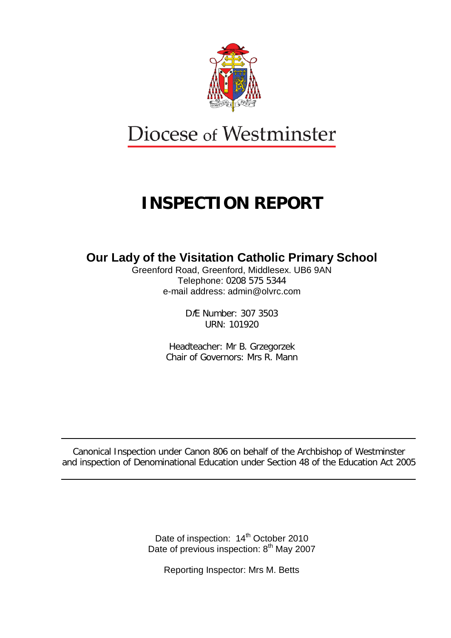

# Diocese of Westminster

# **INSPECTION REPORT**

# **Our Lady of the Visitation Catholic Primary School**

Greenford Road, Greenford, Middlesex. UB6 9AN Telephone: 0208 575 5344 e-mail address: admin@olvrc.com

> DfE Number: 307 3503 URN: 101920

Headteacher: Mr B. Grzegorzek Chair of Governors: Mrs R. Mann

Canonical Inspection under Canon 806 on behalf of the Archbishop of Westminster and inspection of Denominational Education under Section 48 of the Education Act 2005

> Date of inspection: 14<sup>th</sup> October 2010 Date of previous inspection: 8<sup>th</sup> May 2007

Reporting Inspector: Mrs M. Betts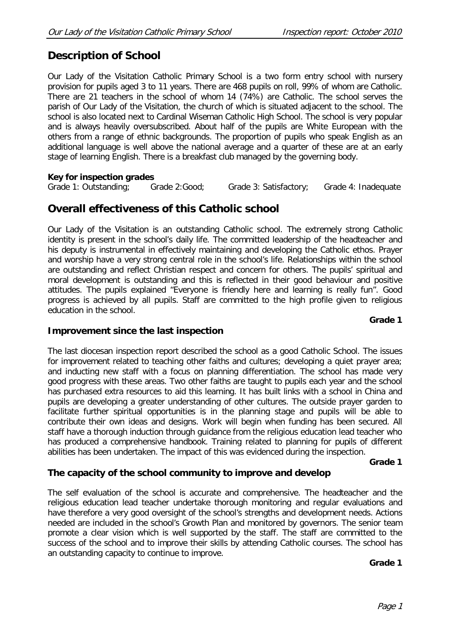# **Description of School**

Our Lady of the Visitation Catholic Primary School is a two form entry school with nursery provision for pupils aged 3 to 11 years. There are 468 pupils on roll, 99% of whom are Catholic. There are 21 teachers in the school of whom 14 (74%) are Catholic. The school serves the parish of Our Lady of the Visitation, the church of which is situated adjacent to the school. The school is also located next to Cardinal Wiseman Catholic High School. The school is very popular and is always heavily oversubscribed. About half of the pupils are White European with the others from a range of ethnic backgrounds. The proportion of pupils who speak English as an additional language is well above the national average and a quarter of these are at an early stage of learning English. There is a breakfast club managed by the governing body.

#### **Key for inspection grades**

Grade 1: Outstanding; Grade 2:Good; Grade 3: Satisfactory; Grade 4: Inadequate

# **Overall effectiveness of this Catholic school**

Our Lady of the Visitation is an outstanding Catholic school. The extremely strong Catholic identity is present in the school's daily life. The committed leadership of the headteacher and his deputy is instrumental in effectively maintaining and developing the Catholic ethos. Prayer and worship have a very strong central role in the school's life. Relationships within the school are outstanding and reflect Christian respect and concern for others. The pupils' spiritual and moral development is outstanding and this is reflected in their good behaviour and positive attitudes. The pupils explained "Everyone is friendly here and learning is really fun". Good progress is achieved by all pupils. Staff are committed to the high profile given to religious education in the school.

### **Grade 1**

### **Improvement since the last inspection**

The last diocesan inspection report described the school as a good Catholic School. The issues for improvement related to teaching other faiths and cultures; developing a quiet prayer area; and inducting new staff with a focus on planning differentiation. The school has made very good progress with these areas. Two other faiths are taught to pupils each year and the school has purchased extra resources to aid this learning. It has built links with a school in China and pupils are developing a greater understanding of other cultures. The outside prayer garden to facilitate further spiritual opportunities is in the planning stage and pupils will be able to contribute their own ideas and designs. Work will begin when funding has been secured. All staff have a thorough induction through guidance from the religious education lead teacher who has produced a comprehensive handbook. Training related to planning for pupils of different abilities has been undertaken. The impact of this was evidenced during the inspection.

**Grade 1**

### **The capacity of the school community to improve and develop**

The self evaluation of the school is accurate and comprehensive. The headteacher and the religious education lead teacher undertake thorough monitoring and regular evaluations and have therefore a very good oversight of the school's strengths and development needs. Actions needed are included in the school's Growth Plan and monitored by governors. The senior team promote a clear vision which is well supported by the staff. The staff are committed to the success of the school and to improve their skills by attending Catholic courses. The school has an outstanding capacity to continue to improve.

#### **Grade 1**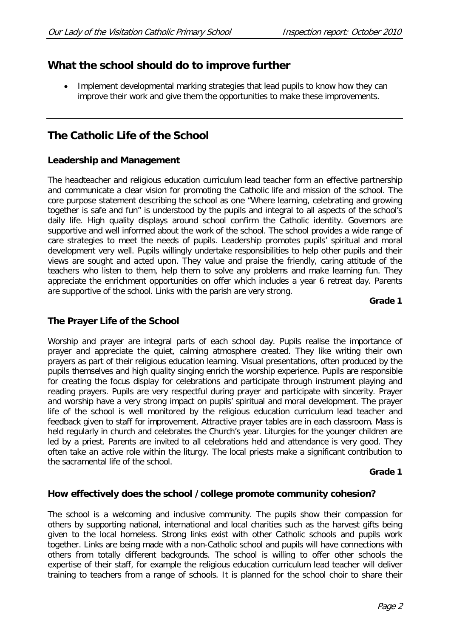# **What the school should do to improve further**

Implement developmental marking strategies that lead pupils to know how they can improve their work and give them the opportunities to make these improvements.

# **The Catholic Life of the School**

## **Leadership and Management**

The headteacher and religious education curriculum lead teacher form an effective partnership and communicate a clear vision for promoting the Catholic life and mission of the school. The core purpose statement describing the school as one "Where learning, celebrating and growing together is safe and fun" is understood by the pupils and integral to all aspects of the school's daily life. High quality displays around school confirm the Catholic identity. Governors are supportive and well informed about the work of the school. The school provides a wide range of care strategies to meet the needs of pupils. Leadership promotes pupils' spiritual and moral development very well. Pupils willingly undertake responsibilities to help other pupils and their views are sought and acted upon. They value and praise the friendly, caring attitude of the teachers who listen to them, help them to solve any problems and make learning fun. They appreciate the enrichment opportunities on offer which includes a year 6 retreat day. Parents are supportive of the school. Links with the parish are very strong.

#### **Grade 1**

## **The Prayer Life of the School**

Worship and prayer are integral parts of each school day. Pupils realise the importance of prayer and appreciate the quiet, calming atmosphere created. They like writing their own prayers as part of their religious education learning. Visual presentations, often produced by the pupils themselves and high quality singing enrich the worship experience. Pupils are responsible for creating the focus display for celebrations and participate through instrument playing and reading prayers. Pupils are very respectful during prayer and participate with sincerity. Prayer and worship have a very strong impact on pupils' spiritual and moral development. The prayer life of the school is well monitored by the religious education curriculum lead teacher and feedback given to staff for improvement. Attractive prayer tables are in each classroom. Mass is held regularly in church and celebrates the Church's year. Liturgies for the younger children are led by a priest. Parents are invited to all celebrations held and attendance is very good. They often take an active role within the liturgy. The local priests make a significant contribution to the sacramental life of the school.

#### **Grade 1**

### **How effectively does the school /college promote community cohesion?**

The school is a welcoming and inclusive community. The pupils show their compassion for others by supporting national, international and local charities such as the harvest gifts being given to the local homeless. Strong links exist with other Catholic schools and pupils work together. Links are being made with a non-Catholic school and pupils will have connections with others from totally different backgrounds. The school is willing to offer other schools the expertise of their staff, for example the religious education curriculum lead teacher will deliver training to teachers from a range of schools. It is planned for the school choir to share their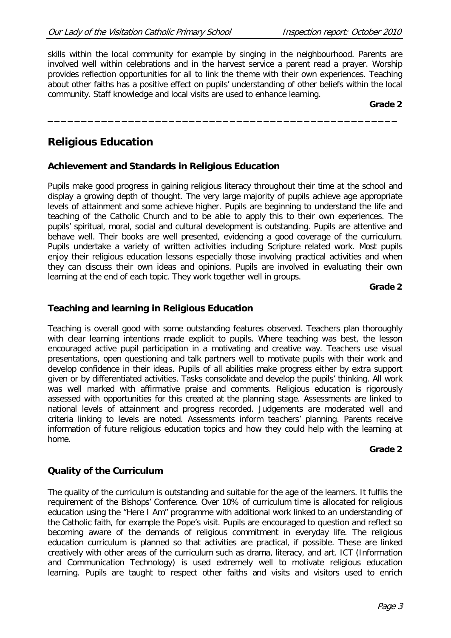skills within the local community for example by singing in the neighbourhood. Parents are involved well within celebrations and in the harvest service a parent read a prayer. Worship provides reflection opportunities for all to link the theme with their own experiences. Teaching about other faiths has a positive effect on pupils' understanding of other beliefs within the local community. Staff knowledge and local visits are used to enhance learning.

**\_\_\_\_\_\_\_\_\_\_\_\_\_\_\_\_\_\_\_\_\_\_\_\_\_\_\_\_\_\_\_\_\_\_\_\_\_\_\_\_\_\_\_\_\_\_\_\_\_\_\_\_**

#### **Grade 2**

# **Religious Education**

## **Achievement and Standards in Religious Education**

Pupils make good progress in gaining religious literacy throughout their time at the school and display a growing depth of thought. The very large majority of pupils achieve age appropriate levels of attainment and some achieve higher. Pupils are beginning to understand the life and teaching of the Catholic Church and to be able to apply this to their own experiences. The pupils' spiritual, moral, social and cultural development is outstanding. Pupils are attentive and behave well. Their books are well presented, evidencing a good coverage of the curriculum. Pupils undertake a variety of written activities including Scripture related work. Most pupils enjoy their religious education lessons especially those involving practical activities and when they can discuss their own ideas and opinions. Pupils are involved in evaluating their own learning at the end of each topic. They work together well in groups.

#### **Grade 2**

## **Teaching and learning in Religious Education**

Teaching is overall good with some outstanding features observed. Teachers plan thoroughly with clear learning intentions made explicit to pupils. Where teaching was best, the lesson encouraged active pupil participation in a motivating and creative way. Teachers use visual presentations, open questioning and talk partners well to motivate pupils with their work and develop confidence in their ideas. Pupils of all abilities make progress either by extra support given or by differentiated activities. Tasks consolidate and develop the pupils' thinking. All work was well marked with affirmative praise and comments. Religious education is rigorously assessed with opportunities for this created at the planning stage. Assessments are linked to national levels of attainment and progress recorded. Judgements are moderated well and criteria linking to levels are noted. Assessments inform teachers' planning. Parents receive information of future religious education topics and how they could help with the learning at home.

### **Grade 2**

## **Quality of the Curriculum**

The quality of the curriculum is outstanding and suitable for the age of the learners. It fulfils the requirement of the Bishops' Conference. Over 10% of curriculum time is allocated for religious education using the "Here I Am" programme with additional work linked to an understanding of the Catholic faith, for example the Pope's visit. Pupils are encouraged to question and reflect so becoming aware of the demands of religious commitment in everyday life. The religious education curriculum is planned so that activities are practical, if possible. These are linked creatively with other areas of the curriculum such as drama, literacy, and art. ICT (Information and Communication Technology) is used extremely well to motivate religious education learning. Pupils are taught to respect other faiths and visits and visitors used to enrich